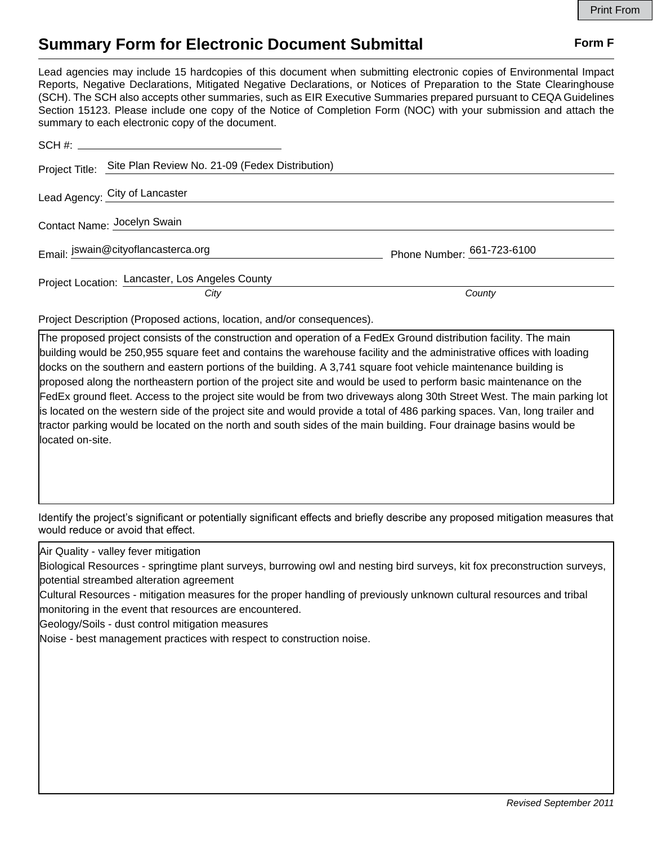## **Summary Form for Electronic Document Submittal Form F Form F**

Lead agencies may include 15 hardcopies of this document when submitting electronic copies of Environmental Impact Reports, Negative Declarations, Mitigated Negative Declarations, or Notices of Preparation to the State Clearinghouse (SCH). The SCH also accepts other summaries, such as EIR Executive Summaries prepared pursuant to CEQA Guidelines Section 15123. Please include one copy of the Notice of Completion Form (NOC) with your submission and attach the summary to each electronic copy of the document.

| Phone Number: 661-723-6100 |
|----------------------------|
| County                     |
|                            |

Project Description (Proposed actions, location, and/or consequences).

The proposed project consists of the construction and operation of a FedEx Ground distribution facility. The main building would be 250,955 square feet and contains the warehouse facility and the administrative offices with loading docks on the southern and eastern portions of the building. A 3,741 square foot vehicle maintenance building is proposed along the northeastern portion of the project site and would be used to perform basic maintenance on the FedEx ground fleet. Access to the project site would be from two driveways along 30th Street West. The main parking lot is located on the western side of the project site and would provide a total of 486 parking spaces. Van, long trailer and tractor parking would be located on the north and south sides of the main building. Four drainage basins would be located on-site.

Identify the project's significant or potentially significant effects and briefly describe any proposed mitigation measures that would reduce or avoid that effect.

Air Quality - valley fever mitigation

Biological Resources - springtime plant surveys, burrowing owl and nesting bird surveys, kit fox preconstruction surveys, potential streambed alteration agreement

Cultural Resources - mitigation measures for the proper handling of previously unknown cultural resources and tribal monitoring in the event that resources are encountered.

Geology/Soils - dust control mitigation measures

Noise - best management practices with respect to construction noise.